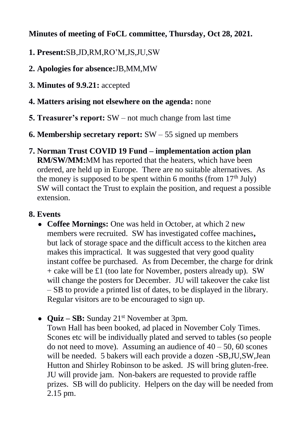## **Minutes of meeting of FoCL committee, Thursday, Oct 28, 2021.**

- **1. Present:**SB,JD,RM,RO'M,JS,JU,SW
- **2. Apologies for absence:**JB,MM,MW
- **3. Minutes of 9.9.21:** accepted
- **4. Matters arising not elsewhere on the agenda:** none
- **5. Treasurer's report:** SW not much change from last time
- **6. Membership secretary report:** SW 55 signed up members
- **7. Norman Trust COVID 19 Fund – implementation action plan RM/SW/MM:**MM has reported that the heaters, which have been ordered, are held up in Europe. There are no suitable alternatives. As the money is supposed to be spent within 6 months (from  $17<sup>th</sup>$  July) SW will contact the Trust to explain the position, and request a possible extension.

## **8. Events**

- **Coffee Mornings:** One was held in October, at which 2 new members were recruited. SW has investigated coffee machines**,**  but lack of storage space and the difficult access to the kitchen area makes this impractical. It was suggested that very good quality instant coffee be purchased. As from December, the charge for drink + cake will be £1 (too late for November, posters already up). SW will change the posters for December. JU will takeover the cake list – SB to provide a printed list of dates, to be displayed in the library. Regular visitors are to be encouraged to sign up.
- **Quiz SB:** Sunday 21<sup>st</sup> November at 3pm.

Town Hall has been booked, ad placed in November Coly Times. Scones etc will be individually plated and served to tables (so people do not need to move). Assuming an audience of  $40 - 50$ , 60 scones will be needed. 5 bakers will each provide a dozen -SB,JU,SW,Jean Hutton and Shirley Robinson to be asked. JS will bring gluten-free. JU will provide jam. Non-bakers are requested to provide raffle prizes. SB will do publicity. Helpers on the day will be needed from 2.15 pm.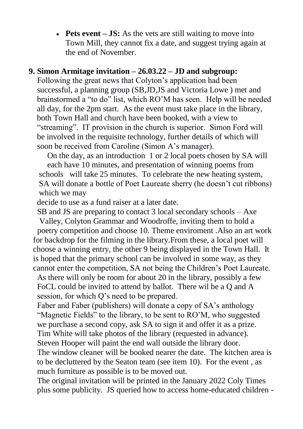• **Pets event** – **JS:** As the vets are still waiting to move into Town Mill, they cannot fix a date, and suggest trying again at the end of November.

#### **9. Simon Armitage invitation – 26.03.22 – JD and subgroup:**

 Following the great news that Colyton's application had been successful, a planning group (SB,JD,JS and Victoria Lowe ) met and brainstormed a "to do" list, which RO'M has seen. Help will be needed all day, for the 2pm start. As the event must take place in the library, both Town Hall and church have been booked, with a view to "streaming". IT provision in the church is superior. Simon Ford will be involved in the requisite technology, further details of which will soon be received from Caroline (Simon A's manager).

 On the day, as an introduction 1 or 2 local poets chosen by SA will each have 10 minutes, and presentation of winning poems from schools will take 25 minutes. To celebrate the new heating system, SA will donate a bottle of Poet Laureate sherry (he doesn't cut ribbons) which we may

decide to use as a fund raiser at a later date.

 SB and JS are preparing to contact 3 local secondary schools – Axe Valley, Colyton Grammar and Woodroffe, inviting them to hold a poetry competition and choose 10. Theme enviroment .Also an art work for backdrop for the filming in the library.From these, a local poet will choose a winning entry, the other 9 being displayed in the Town Hall. It is hoped that the primary school can be involved in some way, as they cannot enter the competition, SA not being the Children's Poet Laureate.

 As there will only be room for about 20 in the library, possibly a few FoCL could be invited to attend by ballot. There wil be a Q and A session, for which Q's need to be prepared.

 Faber and Faber (publishers) will donate a copy of SA's anthology "Magnetic Fields" to the library, to be sent to RO'M, who suggested we purchase a second copy, ask SA to sign it and offer it as a prize. Tim White will take photos of the library (requested in advance).

Steven Hooper will paint the end wall outside the library door.

 The window cleaner will be booked nearer the date. The kitchen area is to be decluttered by the Seaton team (see item 10). For the event , as much furniture as possible is to be moved out.

 The original invitation will be printed in the January 2022 Coly Times plus some publicity. JS queried how to access home-educated children -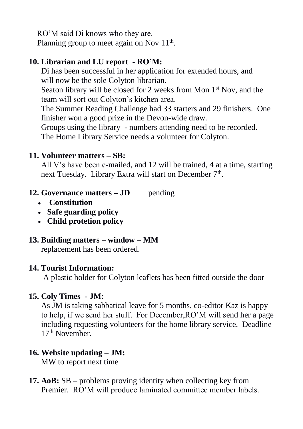RO'M said Di knows who they are. Planning group to meet again on Nov  $11<sup>th</sup>$ .

### **10. Librarian and LU report - RO'M:**

 Di has been successful in her application for extended hours, and will now be the sole Colyton librarian.

Seaton library will be closed for 2 weeks from Mon  $1<sup>st</sup>$  Nov, and the team will sort out Colyton's kitchen area.

 The Summer Reading Challenge had 33 starters and 29 finishers. One finisher won a good prize in the Devon-wide draw.

Groups using the library - numbers attending need to be recorded.

The Home Library Service needs a volunteer for Colyton.

### **11. Volunteer matters – SB:**

All V's have been e-mailed, and 12 will be trained, 4 at a time, starting next Tuesday. Library Extra will start on December 7<sup>th</sup>.

- **12. Governance matters JD** pending
	- **Constitution**
	- **Safe guarding policy**
	- **Child protetion policy**

#### **13. Building matters – window – MM**

replacement has been ordered.

#### **14. Tourist Information:**

A plastic holder for Colyton leaflets has been fitted outside the door

#### **15. Coly Times - JM:**

As JM is taking sabbatical leave for 5 months, co-editor Kaz is happy to help, if we send her stuff. For December,RO'M will send her a page including requesting volunteers for the home library service. Deadline 17<sup>th</sup> November.

### **16. Website updating – JM:**

MW to report next time

**17. AoB:** SB – problems proving identity when collecting key from Premier. RO'M will produce laminated committee member labels.